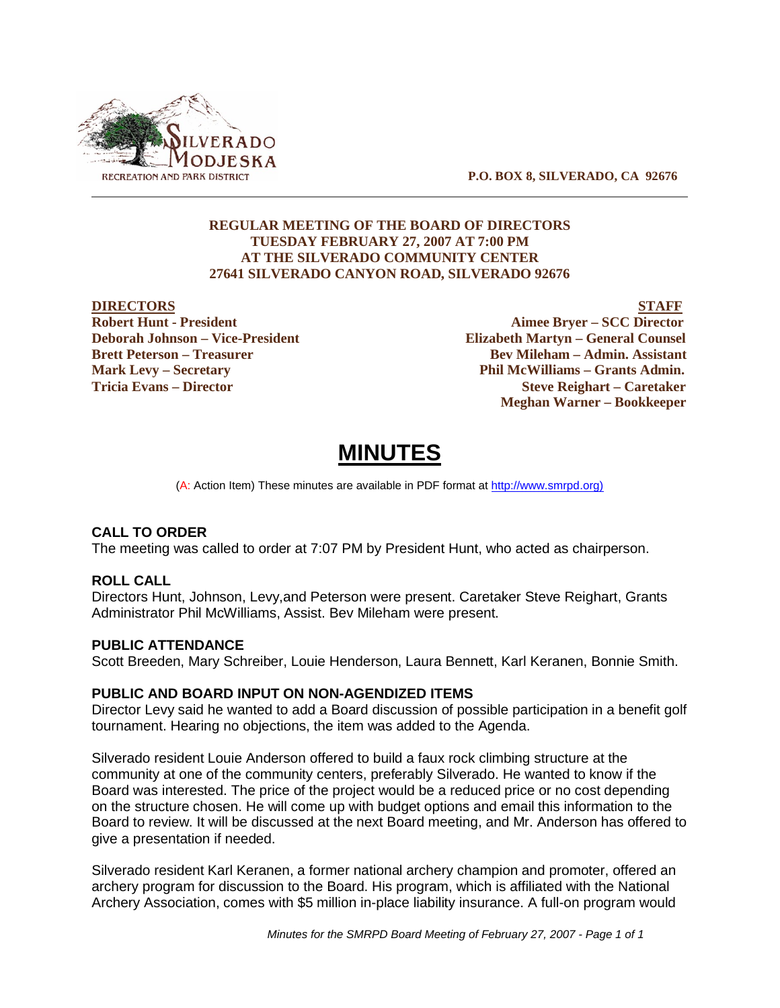

 **P.O. BOX 8, SILVERADO, CA 92676**

# **REGULAR MEETING OF THE BOARD OF DIRECTORS TUESDAY FEBRUARY 27, 2007 AT 7:00 PM AT THE SILVERADO COMMUNITY CENTER 27641 SILVERADO CANYON ROAD, SILVERADO 92676**

**DIRECTORS** STAFF<br>Robert Hunt - President North Contract Contract Contract Contract Contract Contract Contract Contract Contract Contract Contract Contract Contract Contract Contract Contract Contract Contract Contract Con **Aimee Bryer – SCC Director Deborah Johnson – Vice-President Elizabeth Martyn – General Counsel Brett Peterson – Treasurer States and Bev Mileham – Admin. Assistant Mark Levy – Secretary Phil McWilliams – Grants Admin. Tricia Evans – Director Steve Reighart – Caretaker Meghan Warner – Bookkeeper**

# **MINUTES**

(A: Action Item) These minutes are available in PDF format at http://www.smrpd.org)

# **CALL TO ORDER**

The meeting was called to order at 7:07 PM by President Hunt, who acted as chairperson.

# **ROLL CALL**

Directors Hunt, Johnson, Levy,and Peterson were present. Caretaker Steve Reighart, Grants Administrator Phil McWilliams, Assist. Bev Mileham were present.

# **PUBLIC ATTENDANCE**

Scott Breeden, Mary Schreiber, Louie Henderson, Laura Bennett, Karl Keranen, Bonnie Smith.

# **PUBLIC AND BOARD INPUT ON NON-AGENDIZED ITEMS**

Director Levy said he wanted to add a Board discussion of possible participation in a benefit golf tournament. Hearing no objections, the item was added to the Agenda.

Silverado resident Louie Anderson offered to build a faux rock climbing structure at the community at one of the community centers, preferably Silverado. He wanted to know if the Board was interested. The price of the project would be a reduced price or no cost depending on the structure chosen. He will come up with budget options and email this information to the Board to review. It will be discussed at the next Board meeting, and Mr. Anderson has offered to give a presentation if needed.

Silverado resident Karl Keranen, a former national archery champion and promoter, offered an archery program for discussion to the Board. His program, which is affiliated with the National Archery Association, comes with \$5 million in-place liability insurance. A full-on program would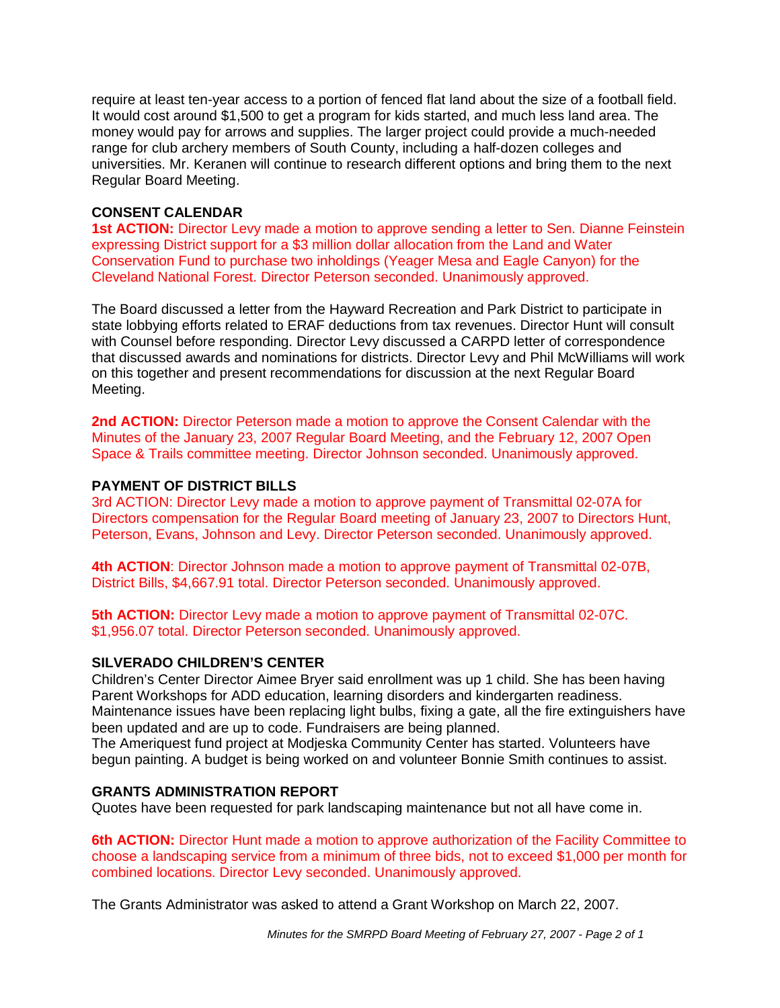require at least ten-year access to a portion of fenced flat land about the size of a football field. It would cost around \$1,500 to get a program for kids started, and much less land area. The money would pay for arrows and supplies. The larger project could provide a much-needed range for club archery members of South County, including a half-dozen colleges and universities. Mr. Keranen will continue to research different options and bring them to the next Regular Board Meeting.

# **CONSENT CALENDAR**

**1st ACTION:** Director Levy made a motion to approve sending a letter to Sen. Dianne Feinstein expressing District support for a \$3 million dollar allocation from the Land and Water Conservation Fund to purchase two inholdings (Yeager Mesa and Eagle Canyon) for the Cleveland National Forest. Director Peterson seconded. Unanimously approved.

The Board discussed a letter from the Hayward Recreation and Park District to participate in state lobbying efforts related to ERAF deductions from tax revenues. Director Hunt will consult with Counsel before responding. Director Levy discussed a CARPD letter of correspondence that discussed awards and nominations for districts. Director Levy and Phil McWilliams will work on this together and present recommendations for discussion at the next Regular Board Meeting.

**2nd ACTION:** Director Peterson made a motion to approve the Consent Calendar with the Minutes of the January 23, 2007 Regular Board Meeting, and the February 12, 2007 Open Space & Trails committee meeting. Director Johnson seconded. Unanimously approved.

# **PAYMENT OF DISTRICT BILLS**

3rd ACTION: Director Levy made a motion to approve payment of Transmittal 02-07A for Directors compensation for the Regular Board meeting of January 23, 2007 to Directors Hunt, Peterson, Evans, Johnson and Levy. Director Peterson seconded. Unanimously approved.

**4th ACTION**: Director Johnson made a motion to approve payment of Transmittal 02-07B, District Bills, \$4,667.91 total. Director Peterson seconded. Unanimously approved.

**5th ACTION:** Director Levy made a motion to approve payment of Transmittal 02-07C. \$1,956.07 total. Director Peterson seconded. Unanimously approved.

# **SILVERADO CHILDREN'S CENTER**

Children's Center Director Aimee Bryer said enrollment was up 1 child. She has been having Parent Workshops for ADD education, learning disorders and kindergarten readiness. Maintenance issues have been replacing light bulbs, fixing a gate, all the fire extinguishers have been updated and are up to code. Fundraisers are being planned.

The Ameriquest fund project at Modjeska Community Center has started. Volunteers have begun painting. A budget is being worked on and volunteer Bonnie Smith continues to assist.

# **GRANTS ADMINISTRATION REPORT**

Quotes have been requested for park landscaping maintenance but not all have come in.

**6th ACTION:** Director Hunt made a motion to approve authorization of the Facility Committee to choose a landscaping service from a minimum of three bids, not to exceed \$1,000 per month for combined locations. Director Levy seconded. Unanimously approved.

The Grants Administrator was asked to attend a Grant Workshop on March 22, 2007.